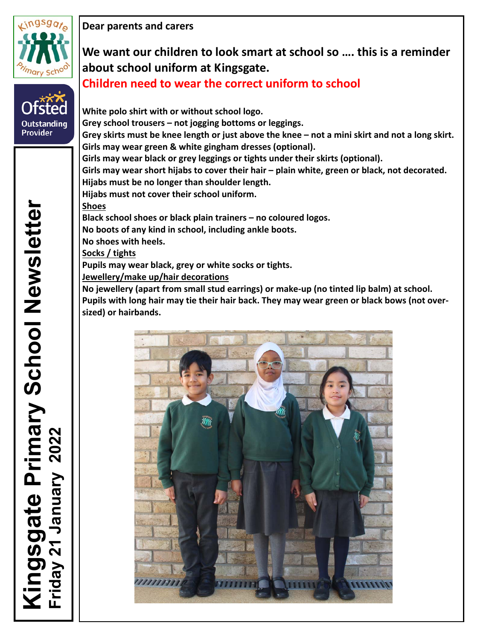

**Outstanding Provider** 

**Dear parents and carers**

# **We want our children to look smart at school so …. this is a reminder about school uniform at Kingsgate. Children need to wear the correct uniform to school**

**White polo shirt with or without school logo. Grey school trousers – not jogging bottoms or leggings.**  Grey skirts must be knee length or just above the knee - not a mini skirt and not a long skirt. **Girls may wear green & white gingham dresses (optional). Girls may wear black or grey leggings or tights under their skirts (optional). Girls may wear short hijabs to cover their hair – plain white, green or black, not decorated. Hijabs must be no longer than shoulder length. Hijabs must not cover their school uniform. Shoes Black school shoes or black plain trainers – no coloured logos. No boots of any kind in school, including ankle boots. No shoes with heels. Socks / tights Pupils may wear black, grey or white socks or tights. Jewellery/make up/hair decorations No jewellery (apart from small stud earrings) or make‐up (no tinted lip balm) at school. Pupils with long hair may tie their hair back. They may wear green or black bows (not over‐ sized) or hairbands.**